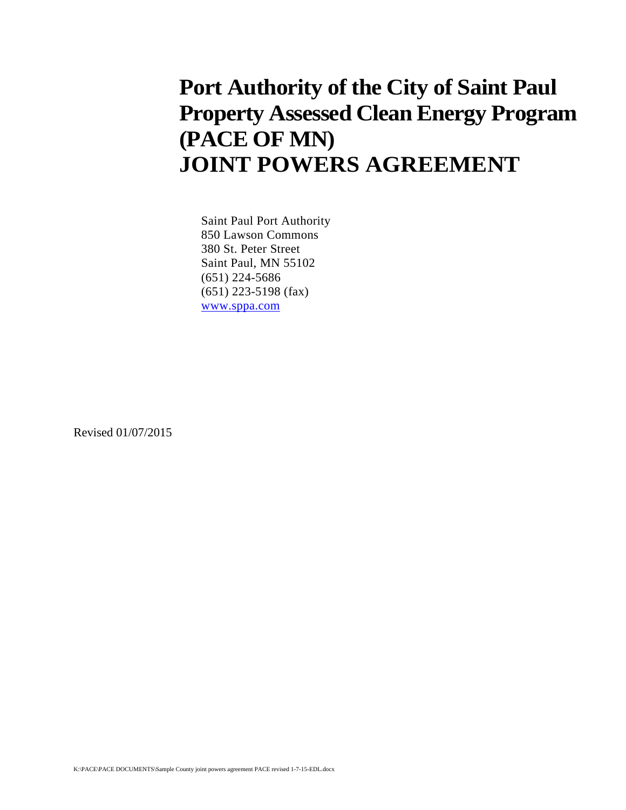## **Port Authority of the City of Saint Paul Property Assessed Clean Energy Program (PACE OF MN) JOINT POWERS AGREEMENT**

Saint Paul Port Authority 850 Lawson Commons 380 St. Peter Street Saint Paul, MN 55102 (651) 224-5686 (651) 223-5198 (fax) www.sppa.com

Revised 01/07/2015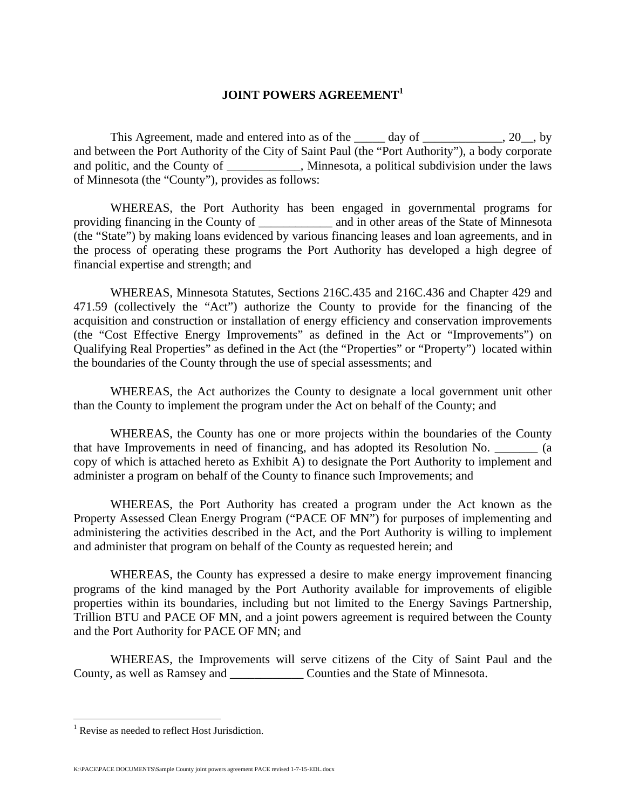## **JOINT POWERS AGREEMENT<sup>1</sup>**

This Agreement, made and entered into as of the \_\_\_\_\_\_ day of \_\_\_\_\_\_\_\_\_\_\_\_\_\_\_, 20\_\_, by and between the Port Authority of the City of Saint Paul (the "Port Authority"), a body corporate and politic, and the County of \_\_\_\_\_\_\_\_\_, Minnesota, a political subdivision under the laws of Minnesota (the "County"), provides as follows:

 WHEREAS, the Port Authority has been engaged in governmental programs for providing financing in the County of \_\_\_\_\_\_\_\_\_\_\_\_ and in other areas of the State of Minnesota (the "State") by making loans evidenced by various financing leases and loan agreements, and in the process of operating these programs the Port Authority has developed a high degree of financial expertise and strength; and

 WHEREAS, Minnesota Statutes, Sections 216C.435 and 216C.436 and Chapter 429 and 471.59 (collectively the "Act") authorize the County to provide for the financing of the acquisition and construction or installation of energy efficiency and conservation improvements (the "Cost Effective Energy Improvements" as defined in the Act or "Improvements") on Qualifying Real Properties" as defined in the Act (the "Properties" or "Property") located within the boundaries of the County through the use of special assessments; and

 WHEREAS, the Act authorizes the County to designate a local government unit other than the County to implement the program under the Act on behalf of the County; and

 WHEREAS, the County has one or more projects within the boundaries of the County that have Improvements in need of financing, and has adopted its Resolution No.  $\qquad \qquad$  (a copy of which is attached hereto as Exhibit A) to designate the Port Authority to implement and administer a program on behalf of the County to finance such Improvements; and

WHEREAS, the Port Authority has created a program under the Act known as the Property Assessed Clean Energy Program ("PACE OF MN") for purposes of implementing and administering the activities described in the Act, and the Port Authority is willing to implement and administer that program on behalf of the County as requested herein; and

WHEREAS, the County has expressed a desire to make energy improvement financing programs of the kind managed by the Port Authority available for improvements of eligible properties within its boundaries, including but not limited to the Energy Savings Partnership, Trillion BTU and PACE OF MN, and a joint powers agreement is required between the County and the Port Authority for PACE OF MN; and

 WHEREAS, the Improvements will serve citizens of the City of Saint Paul and the County, as well as Ramsey and \_\_\_\_\_\_\_\_\_\_\_\_ Counties and the State of Minnesota.

K:\PACE\PACE DOCUMENTS\Sample County joint powers agreement PACE revised 1-7-15-EDL.docx

 1 Revise as needed to reflect Host Jurisdiction.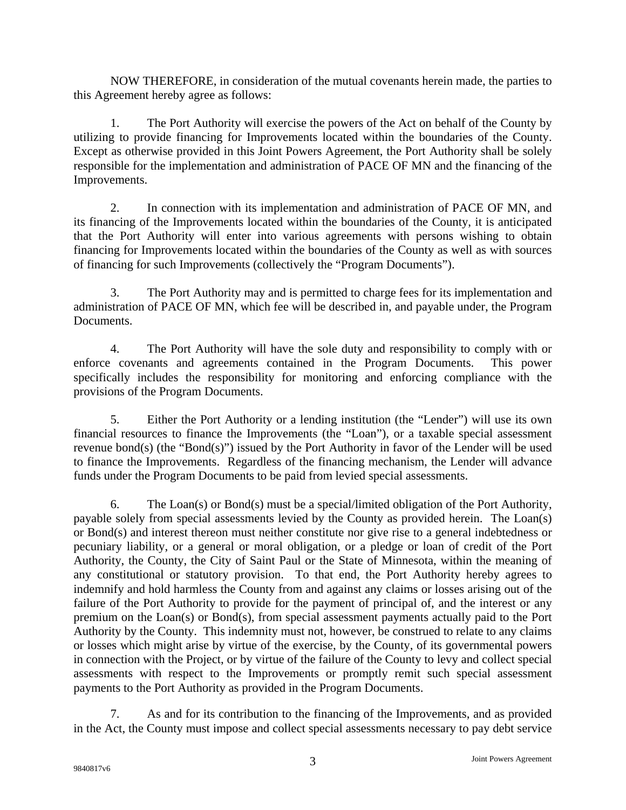NOW THEREFORE, in consideration of the mutual covenants herein made, the parties to this Agreement hereby agree as follows:

 1. The Port Authority will exercise the powers of the Act on behalf of the County by utilizing to provide financing for Improvements located within the boundaries of the County. Except as otherwise provided in this Joint Powers Agreement, the Port Authority shall be solely responsible for the implementation and administration of PACE OF MN and the financing of the Improvements.

 2. In connection with its implementation and administration of PACE OF MN, and its financing of the Improvements located within the boundaries of the County, it is anticipated that the Port Authority will enter into various agreements with persons wishing to obtain financing for Improvements located within the boundaries of the County as well as with sources of financing for such Improvements (collectively the "Program Documents").

 3. The Port Authority may and is permitted to charge fees for its implementation and administration of PACE OF MN, which fee will be described in, and payable under, the Program Documents.

 4. The Port Authority will have the sole duty and responsibility to comply with or enforce covenants and agreements contained in the Program Documents. This power specifically includes the responsibility for monitoring and enforcing compliance with the provisions of the Program Documents.

 5. Either the Port Authority or a lending institution (the "Lender") will use its own financial resources to finance the Improvements (the "Loan"), or a taxable special assessment revenue bond(s) (the "Bond(s)") issued by the Port Authority in favor of the Lender will be used to finance the Improvements. Regardless of the financing mechanism, the Lender will advance funds under the Program Documents to be paid from levied special assessments.

 6. The Loan(s) or Bond(s) must be a special/limited obligation of the Port Authority, payable solely from special assessments levied by the County as provided herein. The Loan(s) or Bond(s) and interest thereon must neither constitute nor give rise to a general indebtedness or pecuniary liability, or a general or moral obligation, or a pledge or loan of credit of the Port Authority, the County, the City of Saint Paul or the State of Minnesota, within the meaning of any constitutional or statutory provision. To that end, the Port Authority hereby agrees to indemnify and hold harmless the County from and against any claims or losses arising out of the failure of the Port Authority to provide for the payment of principal of, and the interest or any premium on the Loan(s) or Bond(s), from special assessment payments actually paid to the Port Authority by the County. This indemnity must not, however, be construed to relate to any claims or losses which might arise by virtue of the exercise, by the County, of its governmental powers in connection with the Project, or by virtue of the failure of the County to levy and collect special assessments with respect to the Improvements or promptly remit such special assessment payments to the Port Authority as provided in the Program Documents.

 7. As and for its contribution to the financing of the Improvements, and as provided in the Act, the County must impose and collect special assessments necessary to pay debt service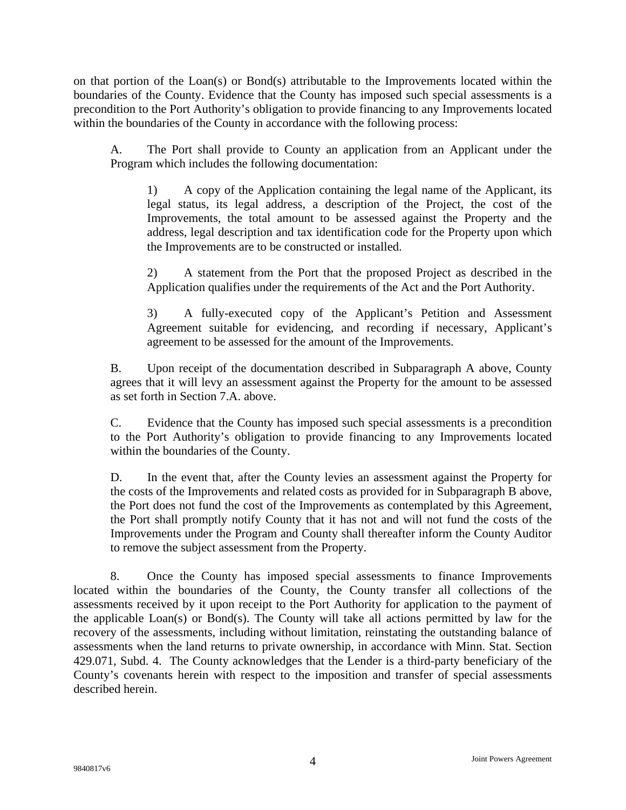on that portion of the Loan(s) or Bond(s) attributable to the Improvements located within the boundaries of the County. Evidence that the County has imposed such special assessments is a precondition to the Port Authority's obligation to provide financing to any Improvements located within the boundaries of the County in accordance with the following process:

 A. The Port shall provide to County an application from an Applicant under the Program which includes the following documentation:

 1) A copy of the Application containing the legal name of the Applicant, its legal status, its legal address, a description of the Project, the cost of the Improvements, the total amount to be assessed against the Property and the address, legal description and tax identification code for the Property upon which the Improvements are to be constructed or installed.

 2) A statement from the Port that the proposed Project as described in the Application qualifies under the requirements of the Act and the Port Authority.

 3) A fully-executed copy of the Applicant's Petition and Assessment Agreement suitable for evidencing, and recording if necessary, Applicant's agreement to be assessed for the amount of the Improvements.

 B. Upon receipt of the documentation described in Subparagraph A above, County agrees that it will levy an assessment against the Property for the amount to be assessed as set forth in Section 7.A. above.

 C. Evidence that the County has imposed such special assessments is a precondition to the Port Authority's obligation to provide financing to any Improvements located within the boundaries of the County.

 D. In the event that, after the County levies an assessment against the Property for the costs of the Improvements and related costs as provided for in Subparagraph B above, the Port does not fund the cost of the Improvements as contemplated by this Agreement, the Port shall promptly notify County that it has not and will not fund the costs of the Improvements under the Program and County shall thereafter inform the County Auditor to remove the subject assessment from the Property.

 8. Once the County has imposed special assessments to finance Improvements located within the boundaries of the County, the County transfer all collections of the assessments received by it upon receipt to the Port Authority for application to the payment of the applicable Loan(s) or Bond(s). The County will take all actions permitted by law for the recovery of the assessments, including without limitation, reinstating the outstanding balance of assessments when the land returns to private ownership, in accordance with Minn. Stat. Section 429.071, Subd. 4. The County acknowledges that the Lender is a third-party beneficiary of the County's covenants herein with respect to the imposition and transfer of special assessments described herein.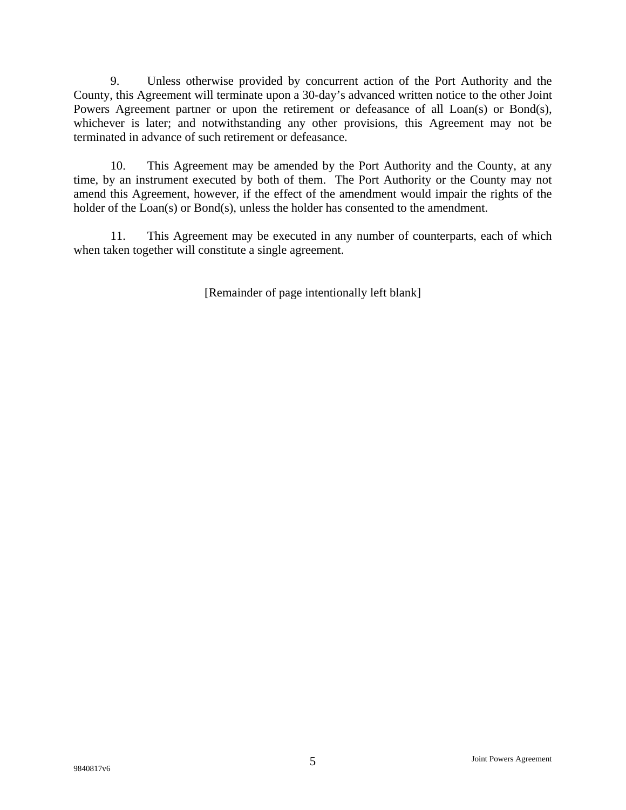9. Unless otherwise provided by concurrent action of the Port Authority and the County, this Agreement will terminate upon a 30-day's advanced written notice to the other Joint Powers Agreement partner or upon the retirement or defeasance of all Loan(s) or Bond(s), whichever is later; and notwithstanding any other provisions, this Agreement may not be terminated in advance of such retirement or defeasance.

 10. This Agreement may be amended by the Port Authority and the County, at any time, by an instrument executed by both of them. The Port Authority or the County may not amend this Agreement, however, if the effect of the amendment would impair the rights of the holder of the Loan(s) or Bond(s), unless the holder has consented to the amendment.

 11. This Agreement may be executed in any number of counterparts, each of which when taken together will constitute a single agreement.

[Remainder of page intentionally left blank]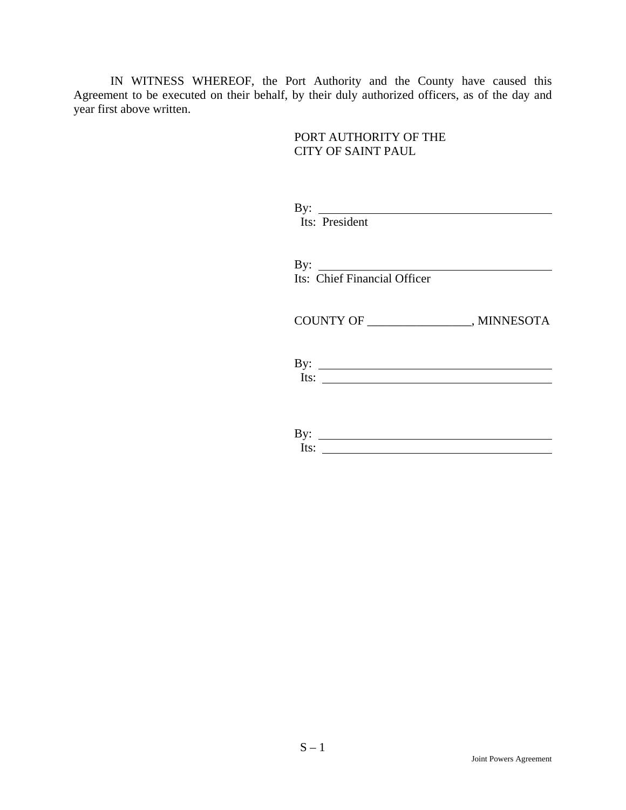IN WITNESS WHEREOF, the Port Authority and the County have caused this Agreement to be executed on their behalf, by their duly authorized officers, as of the day and year first above written.

> PORT AUTHORITY OF THE CITY OF SAINT PAUL

| Its: President                                                                       |
|--------------------------------------------------------------------------------------|
| By: $\qquad \qquad$<br>Its: Chief Financial Officer                                  |
|                                                                                      |
| Its: $\qquad \qquad$                                                                 |
| By: $\qquad \qquad$<br>Its:<br><u> 1989 - Johann Stein, fransk politik (d. 1989)</u> |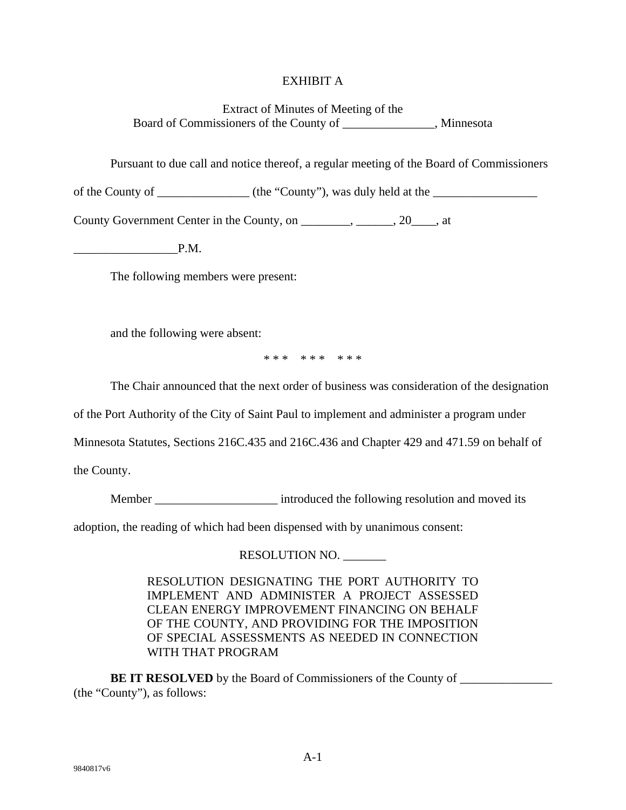## EXHIBIT A

Extract of Minutes of Meeting of the Board of Commissioners of the County of \_\_\_\_\_\_\_\_\_\_\_\_\_\_\_, Minnesota

Pursuant to due call and notice thereof, a regular meeting of the Board of Commissioners

of the County of \_\_\_\_\_\_\_\_\_\_\_\_\_\_\_ (the "County"), was duly held at the \_\_\_\_\_\_\_\_\_\_\_\_\_\_\_\_\_

County Government Center in the County, on \_\_\_\_\_\_\_\_, \_\_\_\_\_\_, 20\_\_\_\_, at

 $P.M.$ 

The following members were present:

and the following were absent:

\* \* \* \* \* \* \* \* \*

The Chair announced that the next order of business was consideration of the designation

of the Port Authority of the City of Saint Paul to implement and administer a program under

Minnesota Statutes, Sections 216C.435 and 216C.436 and Chapter 429 and 471.59 on behalf of

the County.

Member \_\_\_\_\_\_\_\_\_\_\_\_\_\_\_\_\_\_\_\_ introduced the following resolution and moved its

adoption, the reading of which had been dispensed with by unanimous consent:

RESOLUTION NO. \_\_\_\_\_\_\_

RESOLUTION DESIGNATING THE PORT AUTHORITY TO IMPLEMENT AND ADMINISTER A PROJECT ASSESSED CLEAN ENERGY IMPROVEMENT FINANCING ON BEHALF OF THE COUNTY, AND PROVIDING FOR THE IMPOSITION OF SPECIAL ASSESSMENTS AS NEEDED IN CONNECTION WITH THAT PROGRAM

**BE IT RESOLVED** by the Board of Commissioners of the County of \_\_\_\_\_\_\_\_\_\_\_\_\_\_\_\_\_\_ (the "County"), as follows: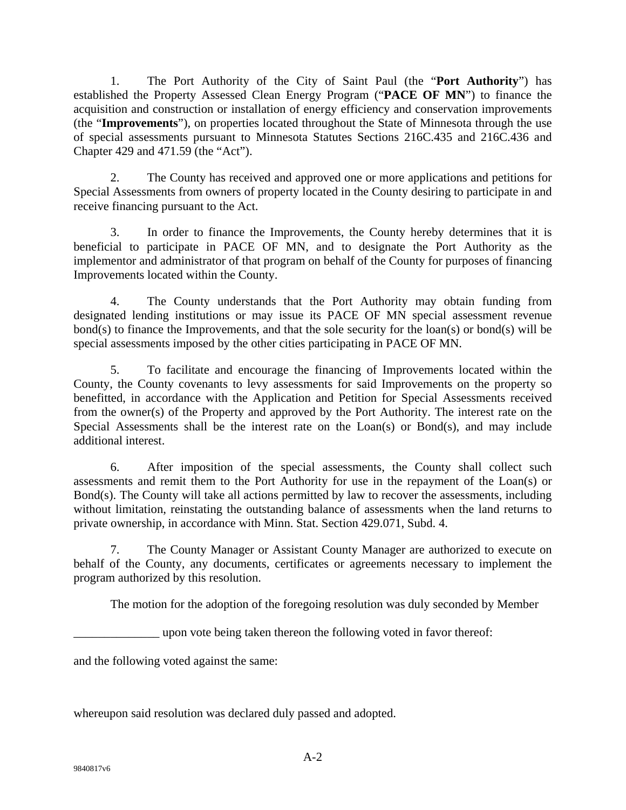1. The Port Authority of the City of Saint Paul (the "**Port Authority**") has established the Property Assessed Clean Energy Program ("**PACE OF MN**") to finance the acquisition and construction or installation of energy efficiency and conservation improvements (the "**Improvements**"), on properties located throughout the State of Minnesota through the use of special assessments pursuant to Minnesota Statutes Sections 216C.435 and 216C.436 and Chapter 429 and 471.59 (the "Act").

2. The County has received and approved one or more applications and petitions for Special Assessments from owners of property located in the County desiring to participate in and receive financing pursuant to the Act.

3. In order to finance the Improvements, the County hereby determines that it is beneficial to participate in PACE OF MN, and to designate the Port Authority as the implementor and administrator of that program on behalf of the County for purposes of financing Improvements located within the County.

4. The County understands that the Port Authority may obtain funding from designated lending institutions or may issue its PACE OF MN special assessment revenue bond(s) to finance the Improvements, and that the sole security for the loan(s) or bond(s) will be special assessments imposed by the other cities participating in PACE OF MN.

5. To facilitate and encourage the financing of Improvements located within the County, the County covenants to levy assessments for said Improvements on the property so benefitted, in accordance with the Application and Petition for Special Assessments received from the owner(s) of the Property and approved by the Port Authority. The interest rate on the Special Assessments shall be the interest rate on the Loan(s) or Bond(s), and may include additional interest.

6. After imposition of the special assessments, the County shall collect such assessments and remit them to the Port Authority for use in the repayment of the Loan(s) or Bond(s). The County will take all actions permitted by law to recover the assessments, including without limitation, reinstating the outstanding balance of assessments when the land returns to private ownership, in accordance with Minn. Stat. Section 429.071, Subd. 4.

 7. The County Manager or Assistant County Manager are authorized to execute on behalf of the County, any documents, certificates or agreements necessary to implement the program authorized by this resolution.

The motion for the adoption of the foregoing resolution was duly seconded by Member

\_\_\_\_\_\_\_\_\_\_\_\_\_\_ upon vote being taken thereon the following voted in favor thereof:

and the following voted against the same:

whereupon said resolution was declared duly passed and adopted.